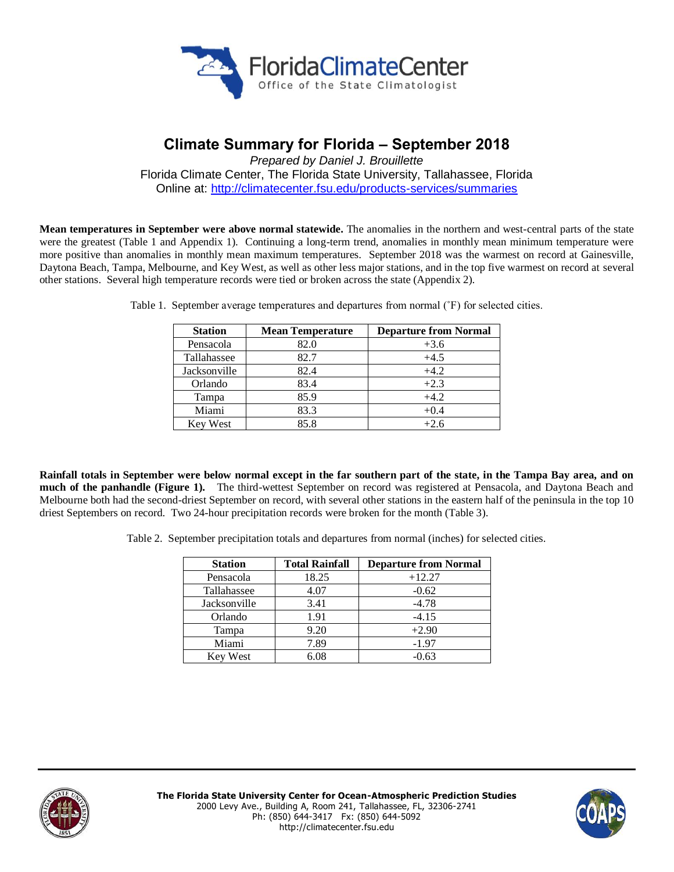

# **Climate Summary for Florida – September 2018**

*Prepared by Daniel J. Brouillette* Florida Climate Center, The Florida State University, Tallahassee, Florida Online at:<http://climatecenter.fsu.edu/products-services/summaries>

**Mean temperatures in September were above normal statewide.** The anomalies in the northern and west-central parts of the state were the greatest (Table 1 and Appendix 1). Continuing a long-term trend, anomalies in monthly mean minimum temperature were more positive than anomalies in monthly mean maximum temperatures. September 2018 was the warmest on record at Gainesville, Daytona Beach, Tampa, Melbourne, and Key West, as well as other less major stations, and in the top five warmest on record at several other stations. Several high temperature records were tied or broken across the state (Appendix 2).

| <b>Station</b> | <b>Mean Temperature</b> | <b>Departure from Normal</b> |
|----------------|-------------------------|------------------------------|
| Pensacola      | 82.0                    | $+3.6$                       |
| Tallahassee    | 82.7                    | $+4.5$                       |
| Jacksonville   | 82.4                    | $+4.2$                       |
| Orlando        | 83.4                    | $+2.3$                       |
| Tampa          | 85.9                    | $+4.2$                       |
| Miami          | 83.3                    | $+0.4$                       |
| Key West       | 85.8                    | $+2.6$                       |

Table 1. September average temperatures and departures from normal (˚F) for selected cities.

**Rainfall totals in September were below normal except in the far southern part of the state, in the Tampa Bay area, and on much of the panhandle (Figure 1).** The third-wettest September on record was registered at Pensacola, and Daytona Beach and Melbourne both had the second-driest September on record, with several other stations in the eastern half of the peninsula in the top 10 driest Septembers on record. Two 24-hour precipitation records were broken for the month (Table 3).

Table 2. September precipitation totals and departures from normal (inches) for selected cities.

| <b>Station</b>  | <b>Total Rainfall</b> | <b>Departure from Normal</b> |
|-----------------|-----------------------|------------------------------|
| Pensacola       | 18.25                 | $+12.27$                     |
| Tallahassee     | 4.07                  | $-0.62$                      |
| Jacksonville    | 3.41                  | $-4.78$                      |
| Orlando         | 1.91                  | $-4.15$                      |
| Tampa           | 9.20                  | $+2.90$                      |
| Miami           | 7.89                  | $-1.97$                      |
| <b>Key West</b> | 6.08                  | $-0.63$                      |



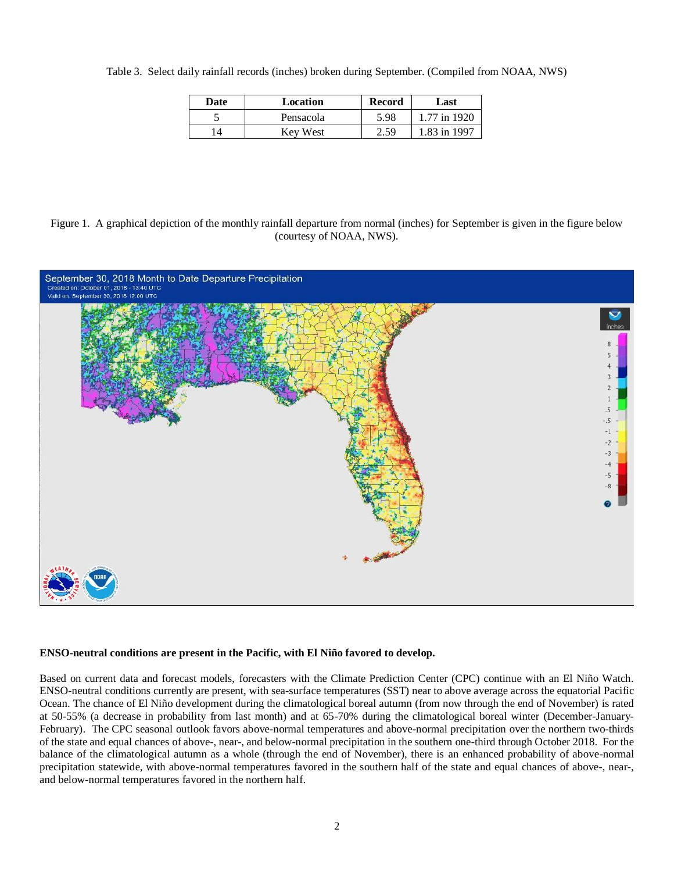Table 3. Select daily rainfall records (inches) broken during September. (Compiled from NOAA, NWS)

| Date | Location  | <b>Record</b> | Last         |
|------|-----------|---------------|--------------|
| ب    | Pensacola | 5.98          | 1.77 in 1920 |
| 14   | Kev West  | 2.59          | 1.83 in 1997 |

Figure 1. A graphical depiction of the monthly rainfall departure from normal (inches) for September is given in the figure below (courtesy of NOAA, NWS).



#### **ENSO-neutral conditions are present in the Pacific, with El Niño favored to develop.**

Based on current data and forecast models, forecasters with the Climate Prediction Center (CPC) continue with an El Niño Watch. ENSO-neutral conditions currently are present, with sea-surface temperatures (SST) near to above average across the equatorial Pacific Ocean. The chance of El Niño development during the climatological boreal autumn (from now through the end of November) is rated at 50-55% (a decrease in probability from last month) and at 65-70% during the climatological boreal winter (December-January-February). The CPC seasonal outlook favors above-normal temperatures and above-normal precipitation over the northern two-thirds of the state and equal chances of above-, near-, and below-normal precipitation in the southern one-third through October 2018. For the balance of the climatological autumn as a whole (through the end of November), there is an enhanced probability of above-normal precipitation statewide, with above-normal temperatures favored in the southern half of the state and equal chances of above-, near-, and below-normal temperatures favored in the northern half.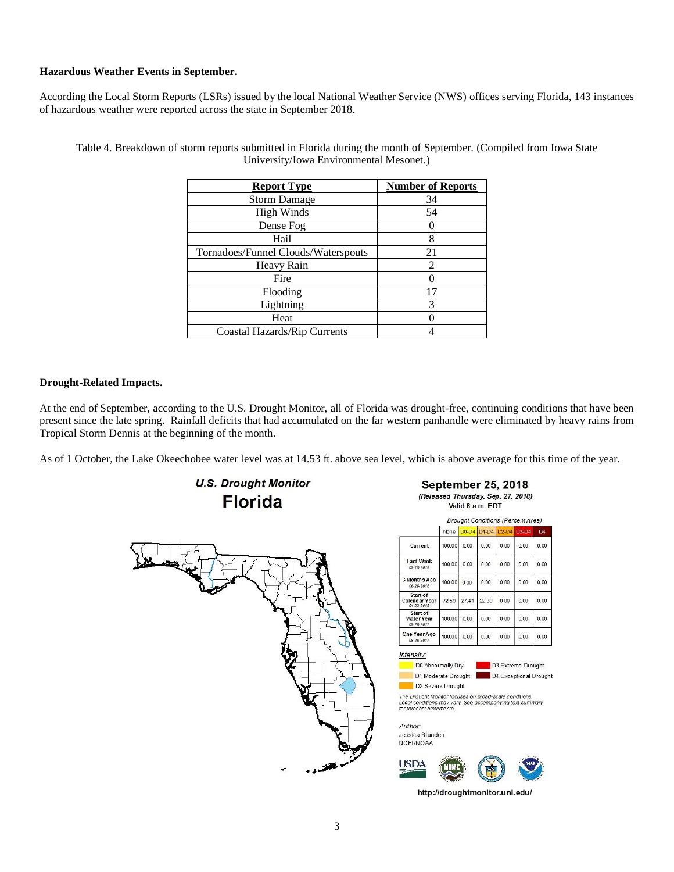# **Hazardous Weather Events in September.**

According the Local Storm Reports (LSRs) issued by the local National Weather Service (NWS) offices serving Florida, 143 instances of hazardous weather were reported across the state in September 2018.

| <b>Report Type</b>                  | <b>Number of Reports</b>    |
|-------------------------------------|-----------------------------|
| <b>Storm Damage</b>                 | 34                          |
| <b>High Winds</b>                   | 54                          |
| Dense Fog                           |                             |
| Hail                                | 8                           |
| Tornadoes/Funnel Clouds/Waterspouts | 21                          |
| Heavy Rain                          | $\mathcal{D}_{\mathcal{L}}$ |
| Fire                                |                             |
| Flooding                            | 17                          |
| Lightning                           | 3                           |
| Heat                                |                             |
| Coastal Hazards/Rip Currents        |                             |

Table 4. Breakdown of storm reports submitted in Florida during the month of September. (Compiled from Iowa State University/Iowa Environmental Mesonet.)

## **Drought-Related Impacts.**

At the end of September, according to the U.S. Drought Monitor, all of Florida was drought-free, continuing conditions that have been present since the late spring. Rainfall deficits that had accumulated on the far western panhandle were eliminated by heavy rains from Tropical Storm Dennis at the beginning of the month.

As of 1 October, the Lake Okeechobee water level was at 14.53 ft. above sea level, which is above average for this time of the year.



http://droughtmonitor.unl.edu/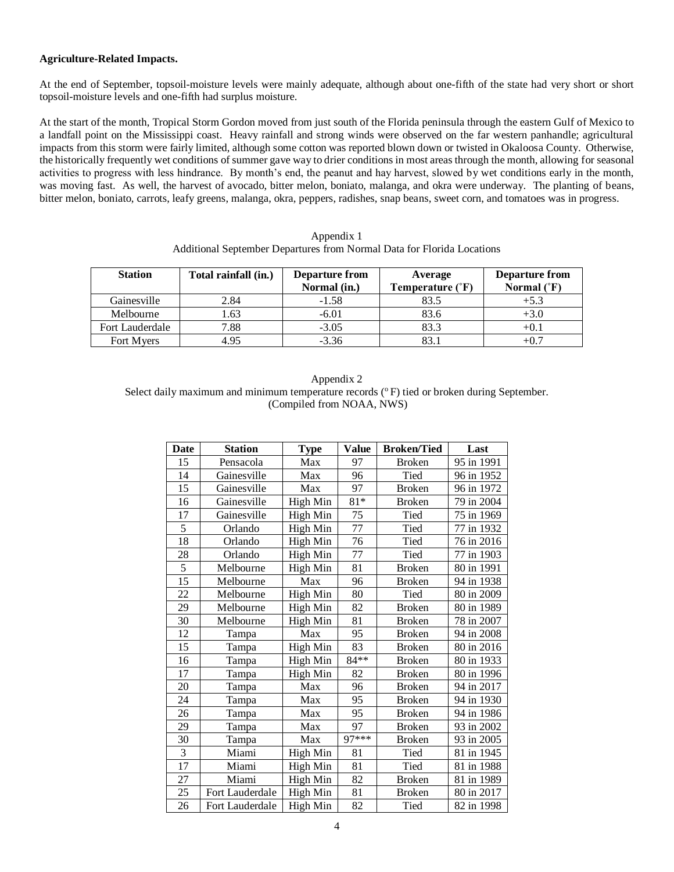### **Agriculture-Related Impacts.**

At the end of September, topsoil-moisture levels were mainly adequate, although about one-fifth of the state had very short or short topsoil-moisture levels and one-fifth had surplus moisture.

At the start of the month, Tropical Storm Gordon moved from just south of the Florida peninsula through the eastern Gulf of Mexico to a landfall point on the Mississippi coast. Heavy rainfall and strong winds were observed on the far western panhandle; agricultural impacts from this storm were fairly limited, although some cotton was reported blown down or twisted in Okaloosa County. Otherwise, the historically frequently wet conditions of summer gave way to drier conditions in most areas through the month, allowing for seasonal activities to progress with less hindrance. By month's end, the peanut and hay harvest, slowed by wet conditions early in the month, was moving fast. As well, the harvest of avocado, bitter melon, boniato, malanga, and okra were underway. The planting of beans, bitter melon, boniato, carrots, leafy greens, malanga, okra, peppers, radishes, snap beans, sweet corn, and tomatoes was in progress.

| Additional September Departures from Normal Data for Florida Locations |                      |                                       |                             |                                               |  |
|------------------------------------------------------------------------|----------------------|---------------------------------------|-----------------------------|-----------------------------------------------|--|
| <b>Station</b>                                                         | Total rainfall (in.) | <b>Departure from</b><br>Normal (in.) | Average<br>Temperature (°F) | <b>Departure from</b><br>Normal $(^{\circ}F)$ |  |
| Gainesville                                                            | 2.84                 | $-1.58$                               | 83.5                        | $+5.3$                                        |  |
| Melbourne                                                              | .63                  | -6.01                                 | 83.6                        | +3.0                                          |  |

Fort Lauderdale  $\begin{array}{|c|c|c|c|c|c|c|c|c|} \hline \end{array}$  7.88  $\begin{array}{|c|c|c|c|c|c|c|c|} \hline \end{array}$  3.3  $\begin{array}{|c|c|c|c|c|c|c|c|} \hline \end{array}$  +0.1 Fort Myers  $4.95$   $-3.36$   $83.1$   $+0.7$ 

Appendix 1 Additional September Departures from Normal Data for Florida Locations

| Appendix 2                                                                                 |
|--------------------------------------------------------------------------------------------|
| Select daily maximum and minimum temperature records (°F) tied or broken during September. |
| (Compiled from NOAA, NWS)                                                                  |

| <b>Date</b> | <b>Station</b>  | <b>Type</b> | <b>Value</b>    | <b>Broken/Tied</b> | Last       |
|-------------|-----------------|-------------|-----------------|--------------------|------------|
| 15          | Pensacola       | Max         | 97              | <b>Broken</b>      | 95 in 1991 |
| 14          | Gainesville     | Max         | 96              | Tied               | 96 in 1952 |
| 15          | Gainesville     | Max         | 97              | <b>Broken</b>      | 96 in 1972 |
| 16          | Gainesville     | High Min    | $81*$           | <b>Broken</b>      | 79 in 2004 |
| 17          | Gainesville     | High Min    | $\overline{75}$ | Tied               | 75 in 1969 |
| 5           | Orlando         | High Min    | 77              | Tied               | 77 in 1932 |
| 18          | Orlando         | High Min    | 76              | Tied               | 76 in 2016 |
| 28          | Orlando         | High Min    | $\overline{77}$ | Tied               | 77 in 1903 |
| 5           | Melbourne       | High Min    | 81              | <b>Broken</b>      | 80 in 1991 |
| 15          | Melbourne       | Max         | 96              | <b>Broken</b>      | 94 in 1938 |
| 22          | Melbourne       | High Min    | 80              | Tied               | 80 in 2009 |
| 29          | Melbourne       | High Min    | 82              | <b>Broken</b>      | 80 in 1989 |
| 30          | Melbourne       | High Min    | 81              | <b>Broken</b>      | 78 in 2007 |
| 12          | Tampa           | Max         | 95              | <b>Broken</b>      | 94 in 2008 |
| 15          | Tampa           | High Min    | 83              | <b>Broken</b>      | 80 in 2016 |
| 16          | Tampa           | High Min    | 84**            | <b>Broken</b>      | 80 in 1933 |
| 17          | Tampa           | High Min    | 82              | <b>Broken</b>      | 80 in 1996 |
| 20          | Tampa           | Max         | 96              | <b>Broken</b>      | 94 in 2017 |
| 24          | Tampa           | Max         | 95              | <b>Broken</b>      | 94 in 1930 |
| 26          | Tampa           | Max         | 95              | <b>Broken</b>      | 94 in 1986 |
| 29          | Tampa           | Max         | 97              | <b>Broken</b>      | 93 in 2002 |
| 30          | Tampa           | Max         | 97***           | <b>Broken</b>      | 93 in 2005 |
| 3           | Miami           | High Min    | 81              | Tied               | 81 in 1945 |
| 17          | Miami           | High Min    | 81              | Tied               | 81 in 1988 |
| 27          | Miami           | High Min    | 82              | <b>Broken</b>      | 81 in 1989 |
| 25          | Fort Lauderdale | High Min    | 81              | <b>Broken</b>      | 80 in 2017 |
| 26          | Fort Lauderdale | High Min    | 82              | Tied               | 82 in 1998 |